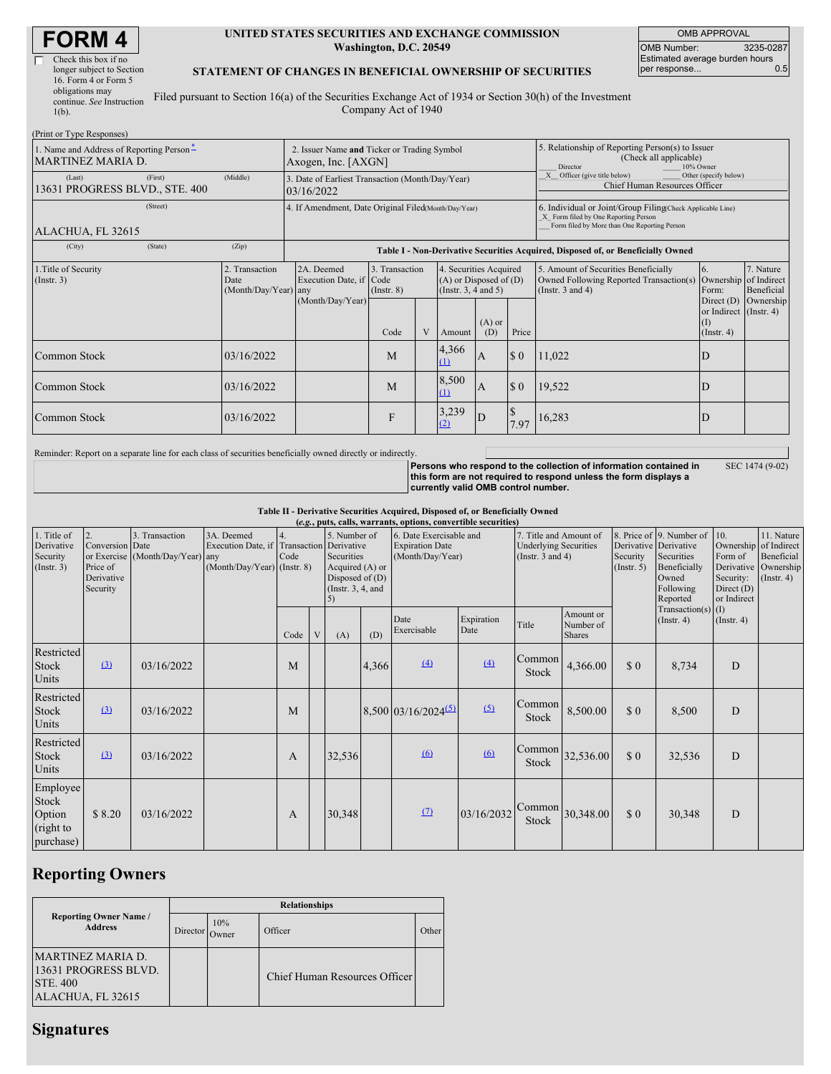| <b>FORM4</b> |
|--------------|
|--------------|

 $\overline{\mathsf{L}}$ 

| Check this box if no      |  |
|---------------------------|--|
| longer subject to Section |  |
| 16. Form 4 or Form 5      |  |
| obligations may           |  |
| continue. See Instruction |  |
| $1(b)$ .                  |  |
|                           |  |

#### **UNITED STATES SECURITIES AND EXCHANGE COMMISSION Washington, D.C. 20549**

OMB APPROVAL OMB Number: 3235-0287 Estimated average burden hours<br>per response... 0.5 per response...

#### **STATEMENT OF CHANGES IN BENEFICIAL OWNERSHIP OF SECURITIES**

Filed pursuant to Section 16(a) of the Securities Exchange Act of 1934 or Section 30(h) of the Investment Company Act of 1940

| (Print or Type Responses)                                            |                                                                    |                                                                                  |                                   |  |                                                                                          |     |                                                                                                                                                    |                                                                                                          |                                                                           |                                                     |
|----------------------------------------------------------------------|--------------------------------------------------------------------|----------------------------------------------------------------------------------|-----------------------------------|--|------------------------------------------------------------------------------------------|-----|----------------------------------------------------------------------------------------------------------------------------------------------------|----------------------------------------------------------------------------------------------------------|---------------------------------------------------------------------------|-----------------------------------------------------|
| 1. Name and Address of Reporting Person-<br><b>MARTINEZ MARIA D.</b> | 2. Issuer Name and Ticker or Trading Symbol<br>Axogen, Inc. [AXGN] |                                                                                  |                                   |  |                                                                                          |     | 5. Relationship of Reporting Person(s) to Issuer<br>(Check all applicable)<br>Director<br>10% Owner                                                |                                                                                                          |                                                                           |                                                     |
| (First)<br>(Last)<br>13631 PROGRESS BLVD., STE. 400                  | (Middle)                                                           | 3. Date of Earliest Transaction (Month/Day/Year)<br>03/16/2022                   |                                   |  |                                                                                          |     | Officer (give title below)<br>Other (specify below)<br>Chief Human Resources Officer                                                               |                                                                                                          |                                                                           |                                                     |
| (Street)<br>ALACHUA, FL 32615                                        |                                                                    | 4. If Amendment, Date Original Filed(Month/Day/Year)                             |                                   |  |                                                                                          |     | 6. Individual or Joint/Group Filing(Check Applicable Line)<br>X Form filed by One Reporting Person<br>Form filed by More than One Reporting Person |                                                                                                          |                                                                           |                                                     |
| (City)<br>(State)                                                    | (Zip)                                                              | Table I - Non-Derivative Securities Acquired, Disposed of, or Beneficially Owned |                                   |  |                                                                                          |     |                                                                                                                                                    |                                                                                                          |                                                                           |                                                     |
| 1. Title of Security<br>$($ Instr. 3 $)$                             | 2. Transaction<br>Date<br>(Month/Day/Year) any                     | 2A. Deemed<br>Execution Date, if Code<br>(Month/Day/Year)                        | 3. Transaction<br>$($ Instr. $8)$ |  | 4. Securities Acquired<br>$(A)$ or Disposed of $(D)$<br>(Insert. 3, 4 and 5)<br>$(A)$ or |     |                                                                                                                                                    | 5. Amount of Securities Beneficially<br>Owned Following Reported Transaction(s)<br>(Instr. $3$ and $4$ ) | 6.<br>Ownership<br>Form:<br>Direct $(D)$<br>or Indirect (Instr. 4)<br>(I) | 7. Nature<br>of Indirect<br>Beneficial<br>Ownership |
|                                                                      |                                                                    |                                                                                  | Code                              |  | Amount                                                                                   | (D) | Price                                                                                                                                              |                                                                                                          | $($ Instr. 4 $)$                                                          |                                                     |
| Common Stock                                                         | 03/16/2022                                                         |                                                                                  | M                                 |  | 4,366<br>(1)                                                                             | А   | $\boldsymbol{\mathsf{S}}$ 0                                                                                                                        | 11,022                                                                                                   | D                                                                         |                                                     |
| Common Stock                                                         | 03/16/2022                                                         |                                                                                  | M                                 |  | 8,500<br>(1)                                                                             | A   | \$0                                                                                                                                                | 19,522                                                                                                   | D                                                                         |                                                     |
| Common Stock                                                         | 03/16/2022                                                         |                                                                                  | F                                 |  | 3,239<br>(2)                                                                             | D   | 7.97                                                                                                                                               | 16,283                                                                                                   | D                                                                         |                                                     |

Reminder: Report on a separate line for each class of securities beneficially owned directly or indirectly.

Persons who respond to the collection of information contained in<br>this form are not required to respond unless the form displays a **currently valid OMB control number.**

SEC 1474 (9-02)

### **Table II - Derivative Securities Acquired, Disposed of, or Beneficially Owned**

|                                                           | (e.g., puts, calls, warrants, options, convertible securities) |                                                    |                                                                                        |            |  |                                                                                                  |       |                                                                       |                    |                                                                                 |                                         |                              |                                                                                                                       |                                                                                            |                                                           |
|-----------------------------------------------------------|----------------------------------------------------------------|----------------------------------------------------|----------------------------------------------------------------------------------------|------------|--|--------------------------------------------------------------------------------------------------|-------|-----------------------------------------------------------------------|--------------------|---------------------------------------------------------------------------------|-----------------------------------------|------------------------------|-----------------------------------------------------------------------------------------------------------------------|--------------------------------------------------------------------------------------------|-----------------------------------------------------------|
| 1. Title of<br>Derivative<br>Security<br>$($ Instr. 3 $)$ | 2.<br>Conversion Date<br>Price of<br>Derivative<br>Security    | 3. Transaction<br>or Exercise (Month/Day/Year) any | 3A. Deemed<br>Execution Date, if Transaction Derivative<br>(Month/Day/Year) (Instr. 8) | 4.<br>Code |  | 5. Number of<br>Securities<br>Acquired (A) or<br>Disposed of $(D)$<br>(Instr. $3, 4$ , and<br>5) |       | 6. Date Exercisable and<br><b>Expiration Date</b><br>(Month/Day/Year) |                    | 7. Title and Amount of<br><b>Underlying Securities</b><br>(Instr. $3$ and $4$ ) |                                         | Security<br>$($ Instr. 5 $)$ | 8. Price of 9. Number of 10.<br>Derivative Derivative<br>Securities<br>Beneficially<br>Owned<br>Following<br>Reported | Ownership of Indirect<br>Form of<br>Derivative<br>Security:<br>Direct $(D)$<br>or Indirect | 11. Nature<br>Beneficial<br>Ownership<br>$($ Instr. 4 $)$ |
|                                                           |                                                                |                                                    |                                                                                        | Code       |  | (A)                                                                                              | (D)   | Date<br>Exercisable                                                   | Expiration<br>Date | Title                                                                           | Amount or<br>Number of<br><b>Shares</b> |                              | Transaction(s) $(I)$<br>$($ Instr. 4 $)$                                                                              | $($ Instr. 4 $)$                                                                           |                                                           |
| Restricted<br>Stock<br>Units                              | (3)                                                            | 03/16/2022                                         |                                                                                        | M          |  |                                                                                                  | 4,366 | (4)                                                                   | $\overline{(4)}$   | Common<br><b>Stock</b>                                                          | 4,366.00                                | \$0                          | 8,734                                                                                                                 | D                                                                                          |                                                           |
| Restricted<br>Stock<br>Units                              | (3)                                                            | 03/16/2022                                         |                                                                                        | M          |  |                                                                                                  |       | $8,500$ 03/16/2024 <sup>(5)</sup>                                     | (5)                | Common<br>Stock                                                                 | 8,500.00                                | \$0                          | 8,500                                                                                                                 | D                                                                                          |                                                           |
| Restricted<br>Stock<br>Units                              | $\Omega$                                                       | 03/16/2022                                         |                                                                                        | A          |  | 32,536                                                                                           |       | (6)                                                                   | (6)                | Common<br><b>Stock</b>                                                          | 32,536.00                               | $\Omega$                     | 32,536                                                                                                                | D                                                                                          |                                                           |
| Employee<br>Stock<br>Option<br>(right to<br>purchase)     | \$8.20                                                         | 03/16/2022                                         |                                                                                        | A          |  | 30,348                                                                                           |       | $\Omega$                                                              | 03/16/2032         | Common<br>Stock                                                                 | 30,348.00                               | \$0                          | 30,348                                                                                                                | D                                                                                          |                                                           |

## **Reporting Owners**

|                                                                                   | <b>Relationships</b> |                     |                               |       |  |  |  |  |  |  |
|-----------------------------------------------------------------------------------|----------------------|---------------------|-------------------------------|-------|--|--|--|--|--|--|
| <b>Reporting Owner Name /</b><br><b>Address</b>                                   | Director             | 10%<br><b>Owner</b> | Officer                       | Other |  |  |  |  |  |  |
| MARTINEZ MARIA D.<br>13631 PROGRESS BLVD.<br><b>STE. 400</b><br>ALACHUA, FL 32615 |                      |                     | Chief Human Resources Officer |       |  |  |  |  |  |  |

# **Signatures**